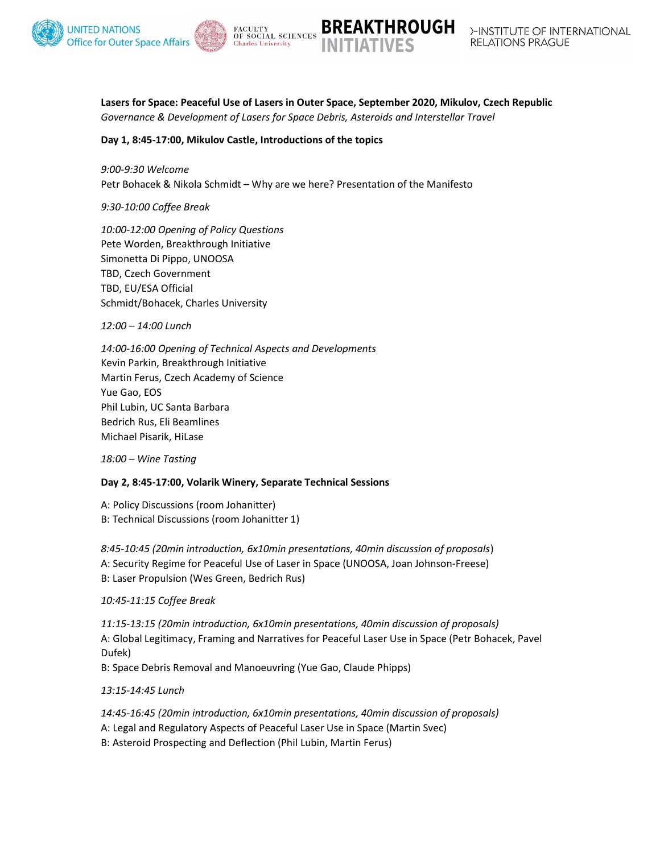





Lasers for Space: Peaceful Use of Lasers in Outer Space, September 2020, Mikulov, Czech Republic Governance & Development of Lasers for Space Debris, Asteroids and Interstellar Travel

# Day 1, 8:45-17:00, Mikulov Castle, Introductions of the topics

9:00-9:30 Welcome Petr Bohacek & Nikola Schmidt – Why are we here? Presentation of the Manifesto

9:30-10:00 Coffee Break

10:00-12:00 Opening of Policy Questions Pete Worden, Breakthrough Initiative Simonetta Di Pippo, UNOOSA TBD, Czech Government TBD, EU/ESA Official Schmidt/Bohacek, Charles University

12:00 – 14:00 Lunch

14:00-16:00 Opening of Technical Aspects and Developments Kevin Parkin, Breakthrough Initiative Martin Ferus, Czech Academy of Science Yue Gao, EOS Phil Lubin, UC Santa Barbara Bedrich Rus, Eli Beamlines Michael Pisarik, HiLase

18:00 – Wine Tasting

# Day 2, 8:45-17:00, Volarik Winery, Separate Technical Sessions

A: Policy Discussions (room Johanitter) B: Technical Discussions (room Johanitter 1)

8:45-10:45 (20min introduction, 6x10min presentations, 40min discussion of proposals) A: Security Regime for Peaceful Use of Laser in Space (UNOOSA, Joan Johnson-Freese) B: Laser Propulsion (Wes Green, Bedrich Rus)

10:45-11:15 Coffee Break

11:15-13:15 (20min introduction, 6x10min presentations, 40min discussion of proposals) A: Global Legitimacy, Framing and Narratives for Peaceful Laser Use in Space (Petr Bohacek, Pavel Dufek)

B: Space Debris Removal and Manoeuvring (Yue Gao, Claude Phipps)

13:15-14:45 Lunch

14:45-16:45 (20min introduction, 6x10min presentations, 40min discussion of proposals) A: Legal and Regulatory Aspects of Peaceful Laser Use in Space (Martin Svec) B: Asteroid Prospecting and Deflection (Phil Lubin, Martin Ferus)